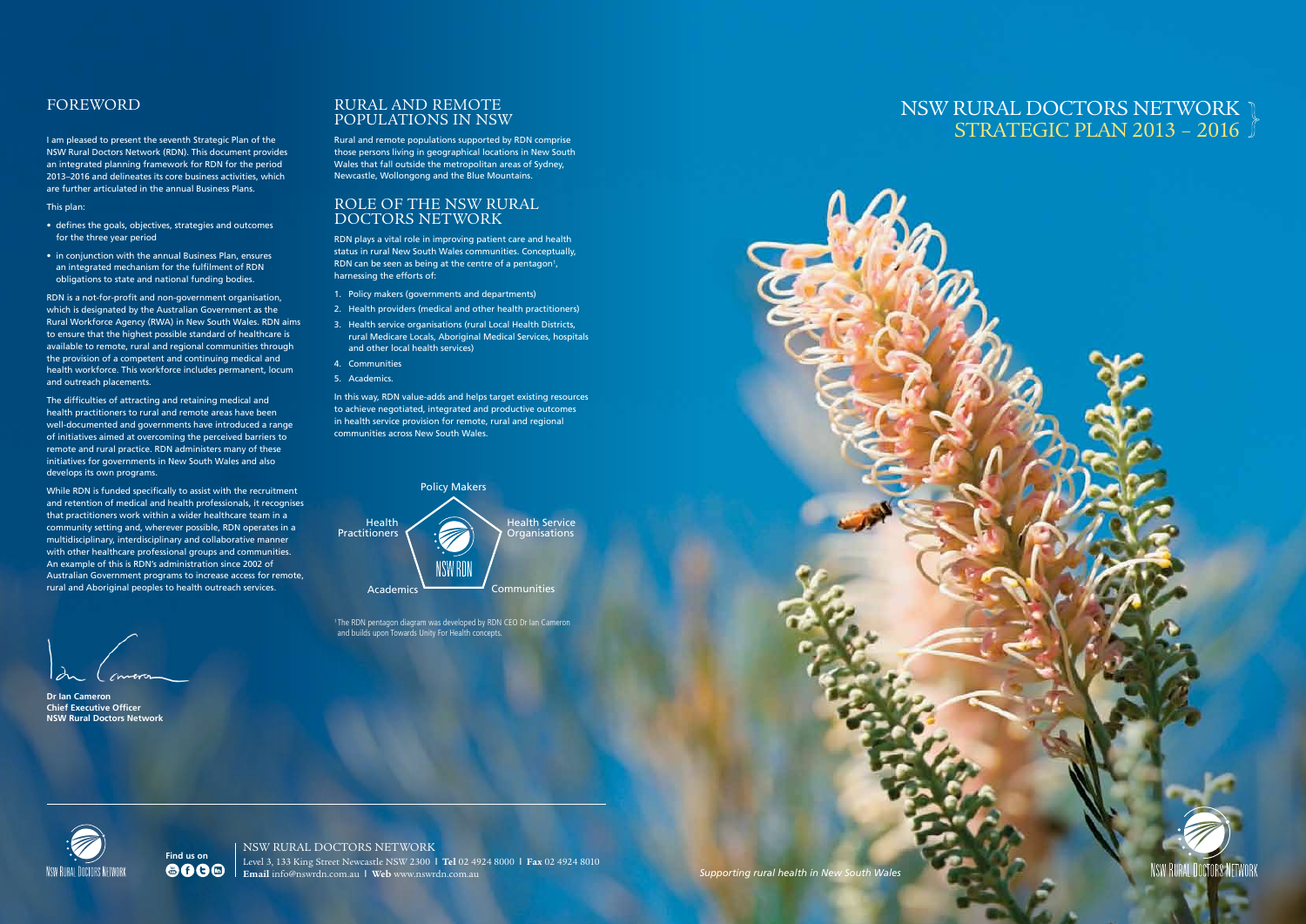I am pleased to present the seventh Strategic Plan of the NSW Rural Doctors Network (RDN). This document provides an integrated planning framework for RDN for the period 2013–2016 and delineates its core business activities, which are further articulated in the annual Business Plans.

This plan:

- defines the goals, objectives, strategies and outcomes for the three year period
- in conjunction with the annual Business Plan, ensures an integrated mechanism for the fulfilment of RDN obligations to state and national funding bodies.

RDN is a not-for-profit and non-government organisation, which is designated by the Australian Government as the Rural Workforce Agency (RWA) in New South Wales. RDN aims to ensure that the highest possible standard of healthcare is available to remote, rural and regional communities through the provision of a competent and continuing medical and health workforce. This workforce includes permanent, locum and outreach placements.

> NSW RURAL DOCTORS NETWORK Level 3, 133 King Street Newcastle NSW 2300 I **Tel** 02 4924 8000 I **Fax** 02 4924 8010 **COO** Email info@nswrdn.com.au I **Web** www.nswrdn.com.au

The difficulties of attracting and retaining medical and health practitioners to rural and remote areas have been well-documented and governments have introduced a range of initiatives aimed at overcoming the perceived barriers to remote and rural practice. RDN administers many of these initiatives for governments in New South Wales and also develops its own programs.

While RDN is funded specifically to assist with the recruitment and retention of medical and health professionals, it recognises that practitioners work within a wider healthcare team in a community setting and, wherever possible, RDN operates in a multidisciplinary, interdisciplinary and collaborative manner with other healthcare professional groups and communities. An example of this is RDN's administration since 2002 of Australian Government programs to increase access for remote, rural and Aboriginal peoples to health outreach services.

**Dr Ian Cameron Chief Executive Officer NSW Rural Doctors Network**

## FOREWORD

## Rural and Remote Populations in NSW

Rural and remote populations supported by RDN comprise those persons living in geographical locations in New South Wales that fall outside the metropolitan areas of Sydney, Newcastle, Wollongong and the Blue Mountains.

## ROLE OF THE NSW RURAL DOCTORS NETWORK

RDN plays a vital role in improving patient care and health status in rural New South Wales communities. Conceptually, RDN can be seen as being at the centre of a pentagon<sup>1</sup>, harnessing the efforts of:

- 1. Policy makers (governments and departments)
- 2. Health providers (medical and other health practitioners)
- 3. Health service organisations (rural Local Health Districts, rural Medicare Locals, Aboriginal Medical Services, hospitals and other local health services)
- 4. Communities
- 5. Academics.

In this way, RDN value-adds and helps target existing resources to achieve negotiated, integrated and productive outcomes in health service provision for remote, rural and regional communities across New South Wales.



1 The RDN pentagon diagram was developed by RDN CEO Dr Ian Cameron and builds upon Towards Unity For Health concepts.





*Supporting rural health in New South Wales*

# **NSW RURAL DOCTORS NETWORK** STRATEGIC PLAN 2013 – 2016

RAL DOCTORS NETWOR